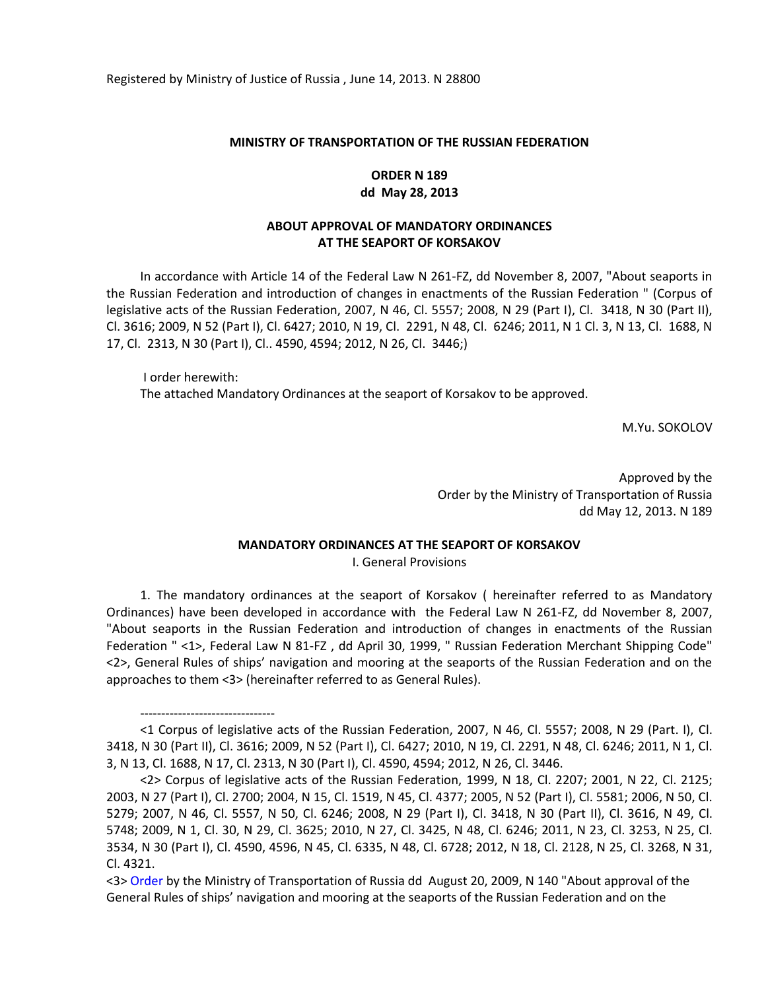Registered by Ministry of Justice of Russia , June 14, 2013. N 28800

#### **MINISTRY OF TRANSPORTATION OF THE RUSSIAN FEDERATION**

# **ORDER N 189 dd May 28, 2013**

# **ABOUT APPROVAL OF MANDATORY ORDINANCES AT THE SEAPORT OF KORSAKOV**

In accordance with Article 14 of the Federal Law N 261-FZ, dd November 8, 2007, "About seaports in the Russian Federation and introduction of changes in enactments of the Russian Federation " (Corpus of legislative acts of the Russian Federation, 2007, N 46, Cl. 5557; 2008, N 29 (Part I), Cl. 3418, N 30 (Part II), Cl. 3616; 2009, N 52 (Part I), Cl. 6427; 2010, N 19, Cl. 2291, N 48, Cl. 6246; 2011, N 1 Cl. 3, N 13, Cl. 1688, N 17, Cl. 2313, N 30 (Part I), Cl.. 4590, 4594; 2012, N 26, Cl. 3446;)

I order herewith: The attached Mandatory Ordinances at the seaport of Korsakov to be approved.

M.Yu. SOKOLOV

Approved by the Order by the Ministry of Transportation of Russia dd May 12, 2013. N 189

### **MANDATORY ORDINANCES AT THE SEAPORT OF KORSAKOV**

I. General Provisions

1. The mandatory ordinances at the seaport of Korsakov ( hereinafter referred to as Mandatory Ordinances) have been developed in accordance with the Federal Law N 261-FZ, dd November 8, 2007, "About seaports in the Russian Federation and introduction of changes in enactments of the Russian Federation " <1>, Federal Law N 81-FZ , dd April 30, 1999, " Russian Federation Merchant Shipping Code" <2>, General Rules of ships' navigation and mooring at the seaports of the Russian Federation and on the approaches to them <3> (hereinafter referred to as General Rules).

--------------------------------

<sup>&</sup>lt;1 Corpus of legislative acts of the Russian Federation, 2007, N 46, Cl. 5557; 2008, N 29 (Part. I), Cl. 3418, N 30 (Part II), Cl. 3616; 2009, N 52 (Part I), Cl. 6427; 2010, N 19, Cl. 2291, N 48, Cl. 6246; 2011, N 1, Cl. 3, N 13, Cl. 1688, N 17, Cl. 2313, N 30 (Part I), Cl. 4590, 4594; 2012, N 26, Cl. 3446.

<sup>&</sup>lt;2> Corpus of legislative acts of the Russian Federation, 1999, N 18, Cl. 2207; 2001, N 22, Cl. 2125; 2003, N 27 (Part I), Cl. 2700; 2004, N 15, Cl. 1519, N 45, Cl. 4377; 2005, N 52 (Part I), Cl. 5581; 2006, N 50, Cl. 5279; 2007, N 46, Cl. 5557, N 50, Cl. 6246; 2008, N 29 (Part I), Cl. 3418, N 30 (Part II), Cl. 3616, N 49, Cl. 5748; 2009, N 1, Cl. 30, N 29, Cl. 3625; 2010, N 27, Cl. 3425, N 48, Cl. 6246; 2011, N 23, Cl. 3253, N 25, Cl. 3534, N 30 (Part I), Cl. 4590, 4596, N 45, Cl. 6335, N 48, Cl. 6728; 2012, N 18, Cl. 2128, N 25, Cl. 3268, N 31, Cl. 4321.

<sup>&</sup>lt;3> [Order](consultantplus://offline/ref=6FCCD57E313D281E5414E7EC2FE8CBCCD22D051AEAB96D7B7AA89EDC30aAB4G) by the Ministry of Transportation of Russia dd August 20, 2009, N 140 "About approval of the General Rules of ships' navigation and mooring at the seaports of the Russian Federation and on the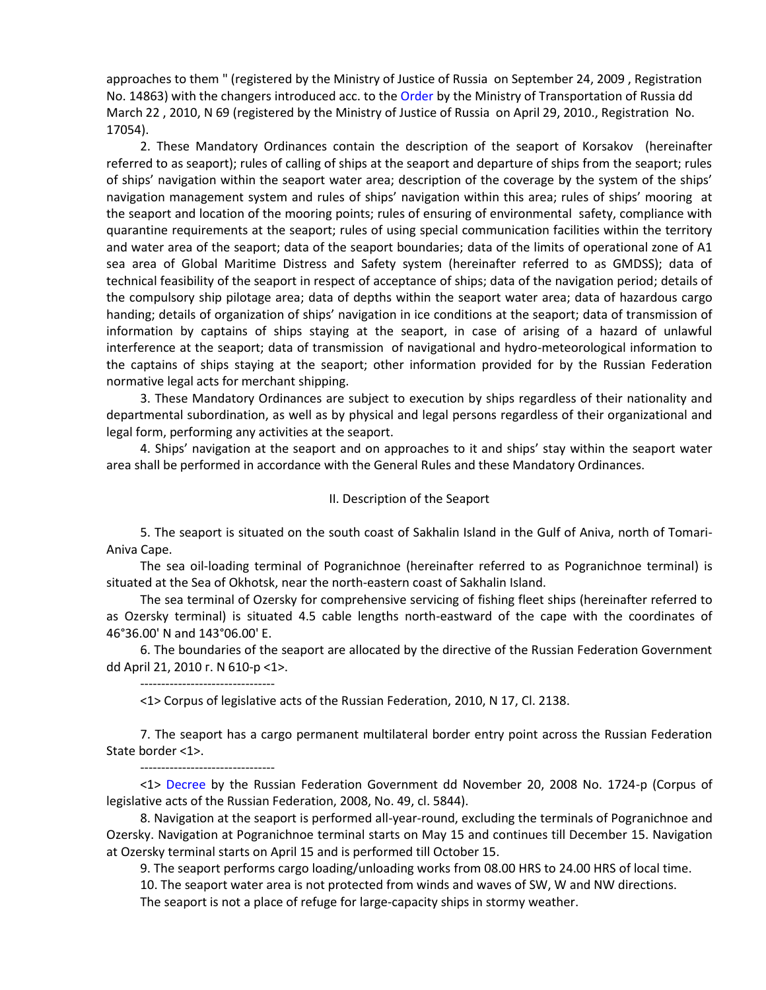approaches to them " (registered by the Ministry of Justice of Russia on September 24, 2009 , Registration No. 14863) with the changers introduced acc. to the [Order](consultantplus://offline/ref=6FCCD57E313D281E5414E7EC2FE8CBCCD22D051AEAB96D7B7AA89EDC30aAB4G) by the Ministry of Transportation of Russia dd March 22 , 2010, N 69 (registered by the Ministry of Justice of Russia on April 29, 2010., Registration No. 17054).

2. These Mandatory Ordinances contain the description of the seaport of Korsakov (hereinafter referred to as seaport); rules of calling of ships at the seaport and departure of ships from the seaport; rules of ships' navigation within the seaport water area; description of the coverage by the system of the ships' navigation management system and rules of ships' navigation within this area; rules of ships' mooring at the seaport and location of the mooring points; rules of ensuring of environmental safety, compliance with quarantine requirements at the seaport; rules of using special communication facilities within the territory and water area of the seaport; data of the seaport boundaries; data of the limits of operational zone of A1 sea area of Global Maritime Distress and Safety system (hereinafter referred to as GMDSS); data of technical feasibility of the seaport in respect of acceptance of ships; data of the navigation period; details of the compulsory ship pilotage area; data of depths within the seaport water area; data of hazardous cargo handing; details of organization of ships' navigation in ice conditions at the seaport; data of transmission of information by captains of ships staying at the seaport, in case of arising of a hazard of unlawful interference at the seaport; data of transmission of navigational and hydro-meteorological information to the captains of ships staying at the seaport; other information provided for by the Russian Federation normative legal acts for merchant shipping.

3. These Mandatory Ordinances are subject to execution by ships regardless of their nationality and departmental subordination, as well as by physical and legal persons regardless of their organizational and legal form, performing any activities at the seaport.

4. Ships' navigation at the seaport and on approaches to it and ships' stay within the seaport water area shall be performed in accordance with the General Rules and these Mandatory Ordinances.

#### II. Description of the Seaport

5. The seaport is situated on the south coast of Sakhalin Island in the Gulf of Aniva, north of Tomari-Aniva Cape.

The sea oil-loading terminal of Pogranichnoe (hereinafter referred to as Pogranichnoe terminal) is situated at the Sea of Okhotsk, near the north-eastern coast of Sakhalin Island.

The sea terminal of Ozersky for comprehensive servicing of fishing fleet ships (hereinafter referred to as Ozersky terminal) is situated 4.5 cable lengths north-eastward of the cape with the coordinates of 46°36.00' N and 143°06.00' E.

6. The boundaries of the seaport are allocated by the directive of the Russian Federation Government dd April 21, 2010 г. N 610-р <1>.

--------------------------------

<1> Corpus of legislative acts of the Russian Federation, 2010, N 17, Cl. 2138.

7. The seaport has a cargo permanent multilateral border entry point across the Russian Federation State border <1>.

--------------------------------

<1> [Decree](consultantplus://offline/main?base=LAW;n=93845;fld=134) by the Russian Federation Government dd November 20, 2008 No. 1724-р (Corpus of legislative acts of the Russian Federation, 2008, No. 49, cl. 5844).

8. Navigation at the seaport is performed all-year-round, excluding the terminals of Pogranichnoe and Ozersky. Navigation at Pogranichnoe terminal starts on May 15 and continues till December 15. Navigation at Ozersky terminal starts on April 15 and is performed till October 15.

9. The seaport performs cargo loading/unloading works from 08.00 HRS to 24.00 HRS of local time.

10. The seaport water area is not protected from winds and waves of SW, W and NW directions.

The seaport is not a place of refuge for large-capacity ships in stormy weather.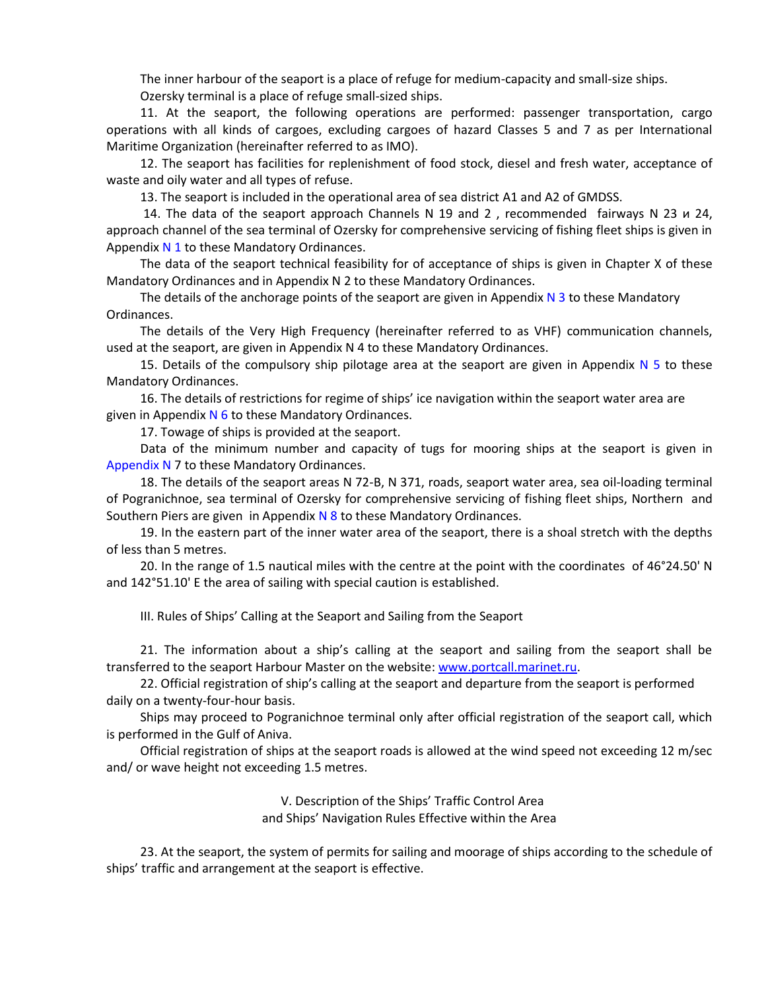The inner harbour of the seaport is a place of refuge for medium-capacity and small-size ships. Ozersky terminal is a place of refuge small-sized ships.

11. At the seaport, the following operations are performed: passenger transportation, cargo operations with all kinds of cargoes, excluding cargoes of hazard Classes 5 and 7 as per International Maritime Organization (hereinafter referred to as IMO).

12. The seaport has facilities for replenishment of food stock, diesel and fresh water, acceptance of waste and oily water and all types of refuse.

13. The seaport is included in the operational area of sea district А1 and A2 of GMDSS.

14. The data of the seaport approach Channels N 19 and 2 , recommended fairways N 23 и 24, approach channel of the sea terminal of Ozersky for comprehensive servicing of fishing fleet ships is given in Appendix  $N$  1 to these Mandatory Ordinances.

The data of the seaport technical feasibility for of acceptance of ships is given in Chapter X of these Mandatory Ordinances and in Appendix N 2 to these Mandatory Ordinances.

The details of the anchorage points of the seaport are given in Appendix  $N$  3 to these Mandatory Ordinances.

The details of the Very High Frequency (hereinafter referred to as VHF) communication channels, used at the seaport, are given in Appendix N 4 to these Mandatory Ordinances.

15. Details of the compulsory ship pilotage area at the seaport are given in Appendix  $N$  5 to these Mandatory Ordinances.

16. The details of restrictions for regime of ships' ice navigation within the seaport water area are given in Appendix  $N$  6 to these Mandatory Ordinances.

17. Towage of ships is provided at the seaport.

Data of the minimum number and capacity of tugs for mooring ships at the seaport is given in Appendix N 7 to these Mandatory Ordinances.

18. The details of the seaport areas N 72-В, N 371, roads, seaport water area, sea oil-loading terminal of Pogranichnoe, sea terminal of Ozersky for comprehensive servicing of fishing fleet ships, Northern and Southern Piers are given in Appendix  $N$  8 to these Mandatory Ordinances.

19. In the eastern part of the inner water area of the seaport, there is a shoal stretch with the depths of less than 5 metres.

20. In the range of 1.5 nautical miles with the centre at the point with the coordinates of 46°24.50' N and 142°51.10' E the area of sailing with special caution is established.

III. Rules of Ships' Calling at the Seaport and Sailing from the Seaport

21. The information about a ship's calling at the seaport and sailing from the seaport shall be transferred to the seaport Harbour Master on the website[: www.portcall.marinet.ru.](www.portcall.marinet.ru)

22. Official registration of ship's calling at the seaport and departure from the seaport is performed daily on a twenty-four-hour basis.

Ships may proceed to Pogranichnoe terminal only after official registration of the seaport call, which is performed in the Gulf of Aniva.

Official registration of ships at the seaport roads is allowed at the wind speed not exceeding 12 m/sec and/ or wave height not exceeding 1.5 metres.

> V. Description of the Ships' Traffic Control Area and Ships' Navigation Rules Effective within the Area

23. At the seaport, the system of permits for sailing and moorage of ships according to the schedule of ships' traffic and arrangement at the seaport is effective.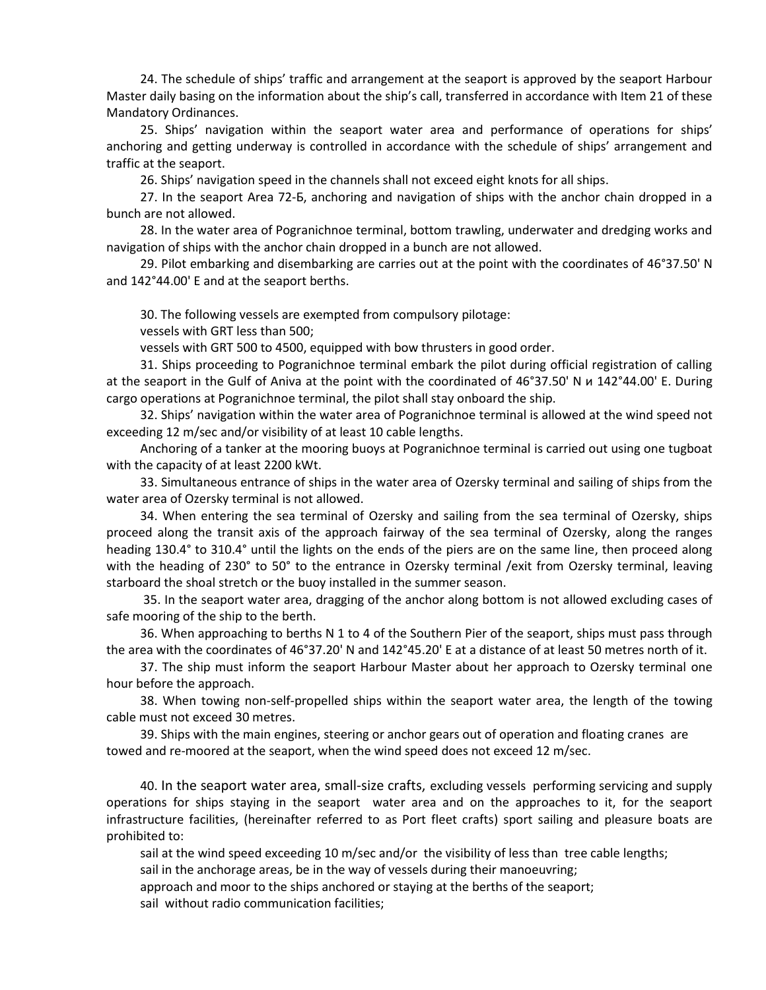24. The schedule of ships' traffic and arrangement at the seaport is approved by the seaport Harbour Master daily basing on the information about the ship's call, transferred in accordance with Item 21 of these Mandatory Ordinances.

25. Ships' navigation within the seaport water area and performance of operations for ships' anchoring and getting underway is controlled in accordance with the schedule of ships' arrangement and traffic at the seaport.

26. Ships' navigation speed in the channels shall not exceed eight knots for all ships.

27. In the seaport Area 72-Б, anchoring and navigation of ships with the anchor chain dropped in a bunch are not allowed.

28. In the water area of Pogranichnoe terminal, bottom trawling, underwater and dredging works and navigation of ships with the anchor chain dropped in a bunch are not allowed.

29. Pilot embarking and disembarking are carries out at the point with the coordinates of 46°37.50' N and 142°44.00' E and at the seaport berths.

30. The following vessels are exempted from compulsory pilotage:

vessels with GRT less than 500;

vessels with GRT 500 to 4500, equipped with bow thrusters in good order.

31. Ships proceeding to Pogranichnoe terminal embark the pilot during official registration of calling at the seaport in the Gulf of Aniva at the point with the coordinated of 46°37.50' N и 142°44.00' E. During cargo operations at Pogranichnoe terminal, the pilot shall stay onboard the ship.

32. Ships' navigation within the water area of Pogranichnoe terminal is allowed at the wind speed not exceeding 12 m/sec and/or visibility of at least 10 cable lengths.

Anchoring of a tanker at the mooring buoys at Pogranichnoe terminal is carried out using one tugboat with the capacity of at least 2200 kWt.

33. Simultaneous entrance of ships in the water area of Ozersky terminal and sailing of ships from the water area of Ozersky terminal is not allowed.

34. When entering the sea terminal of Ozersky and sailing from the sea terminal of Ozersky, ships proceed along the transit axis of the approach fairway of the sea terminal of Ozersky, along the ranges heading 130.4° to 310.4° until the lights on the ends of the piers are on the same line, then proceed along with the heading of 230° to 50° to the entrance in Ozersky terminal /exit from Ozersky terminal, leaving starboard the shoal stretch or the buoy installed in the summer season.

35. In the seaport water area, dragging of the anchor along bottom is not allowed excluding cases of safe mooring of the ship to the berth.

36. When approaching to berths N 1 to 4 of the Southern Pier of the seaport, ships must pass through the area with the coordinates of 46°37.20' N and 142°45.20' E at a distance of at least 50 metres north of it.

37. The ship must inform the seaport Harbour Master about her approach to Ozersky terminal one hour before the approach.

38. When towing non-self-propelled ships within the seaport water area, the length of the towing cable must not exceed 30 metres.

39. Ships with the main engines, steering or anchor gears out of operation and floating cranes are towed and re-moored at the seaport, when the wind speed does not exceed 12 m/sec.

40. In the seaport water area, small-size crafts, excluding vessels performing servicing and supply operations for ships staying in the seaport water area and on the approaches to it, for the seaport infrastructure facilities, (hereinafter referred to as Port fleet crafts) sport sailing and pleasure boats are prohibited to:

sail at the wind speed exceeding 10 m/sec and/or the visibility of less than tree cable lengths;

sail in the anchorage areas, be in the way of vessels during their manoeuvring;

approach and moor to the ships anchored or staying at the berths of the seaport;

sail without radio communication facilities;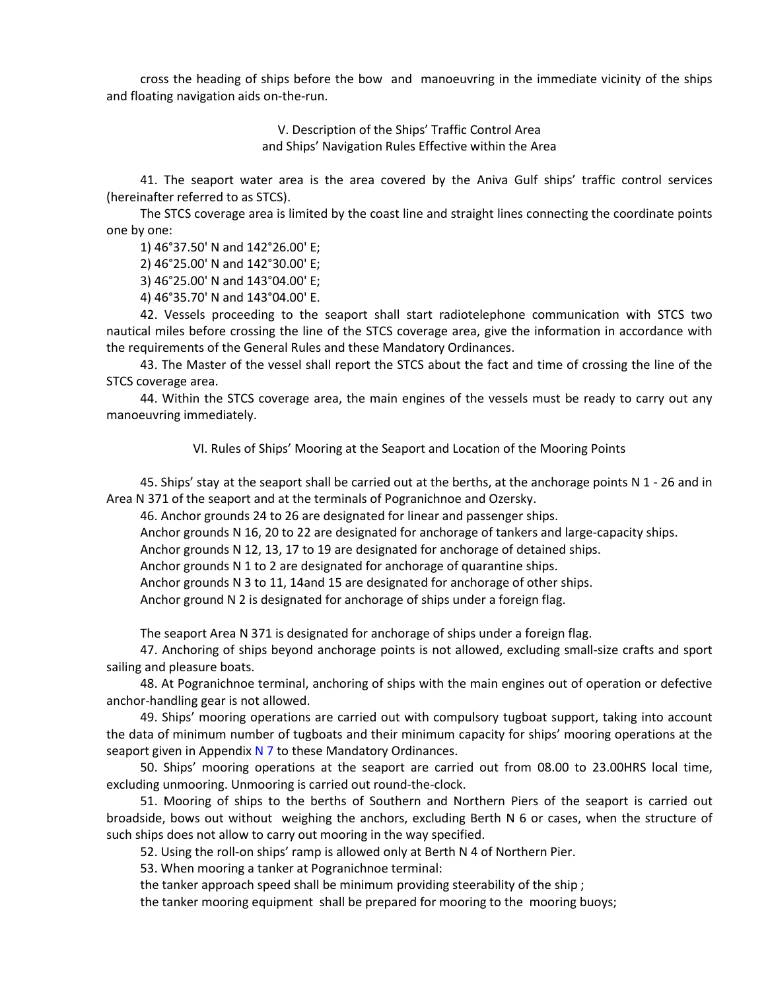cross the heading of ships before the bow and manoeuvring in the immediate vicinity of the ships and floating navigation aids on-the-run.

> V. Description of the Ships' Traffic Control Area and Ships' Navigation Rules Effective within the Area

41. The seaport water area is the area covered by the Aniva Gulf ships' traffic control services (hereinafter referred to as STCS).

The STCS coverage area is limited by the coast line and straight lines connecting the coordinate points one by one:

1) 46°37.50' N and 142°26.00' E;

2) 46°25.00' N and 142°30.00' E;

3) 46°25.00' N and 143°04.00' E;

4) 46°35.70' N and 143°04.00' E.

42. Vessels proceeding to the seaport shall start radiotelephone communication with STCS two nautical miles before crossing the line of the STCS coverage area, give the information in accordance with the requirements of the General Rules and these Mandatory Ordinances.

43. The Master of the vessel shall report the STCS about the fact and time of crossing the line of the STCS coverage area.

44. Within the STCS coverage area, the main engines of the vessels must be ready to carry out any manoeuvring immediately.

VI. Rules of Ships' Mooring at the Seaport and Location of the Mooring Points

45. Ships' stay at the seaport shall be carried out at the berths, at the anchorage points N 1 - 26 and in Area N 371 of the seaport and at the terminals of Pogranichnoe and Ozersky.

46. Anchor grounds 24 to 26 are designated for linear and passenger ships.

Anchor grounds N 16, 20 to 22 are designated for anchorage of tankers and large-capacity ships.

Anchor grounds N 12, 13, 17 to 19 are designated for anchorage of detained ships.

Anchor grounds N 1 to 2 are designated for anchorage of quarantine ships.

Anchor grounds N 3 to 11, 14and 15 are designated for anchorage of other ships.

Anchor ground N 2 is designated for anchorage of ships under a foreign flag.

The seaport Area N 371 is designated for anchorage of ships under a foreign flag.

47. Anchoring of ships beyond anchorage points is not allowed, excluding small-size crafts and sport sailing and pleasure boats.

48. At Pogranichnoe terminal, anchoring of ships with the main engines out of operation or defective anchor-handling gear is not allowed.

49. Ships' mooring operations are carried out with compulsory tugboat support, taking into account the data of minimum number of tugboats and their minimum capacity for ships' mooring operations at the seaport given in Appendix  $N$  7 to these Mandatory Ordinances.

50. Ships' mooring operations at the seaport are carried out from 08.00 to 23.00HRS local time, excluding unmooring. Unmooring is carried out round-the-clock.

51. Mooring of ships to the berths of Southern and Northern Piers of the seaport is carried out broadside, bows out without weighing the anchors, excluding Berth N 6 or cases, when the structure of such ships does not allow to carry out mooring in the way specified.

52. Using the roll-on ships' ramp is allowed only at Berth N 4 of Northern Pier.

53. When mooring a tanker at Pogranichnoe terminal:

the tanker approach speed shall be minimum providing steerability of the ship ;

the tanker mooring equipment shall be prepared for mooring to the mooring buoys;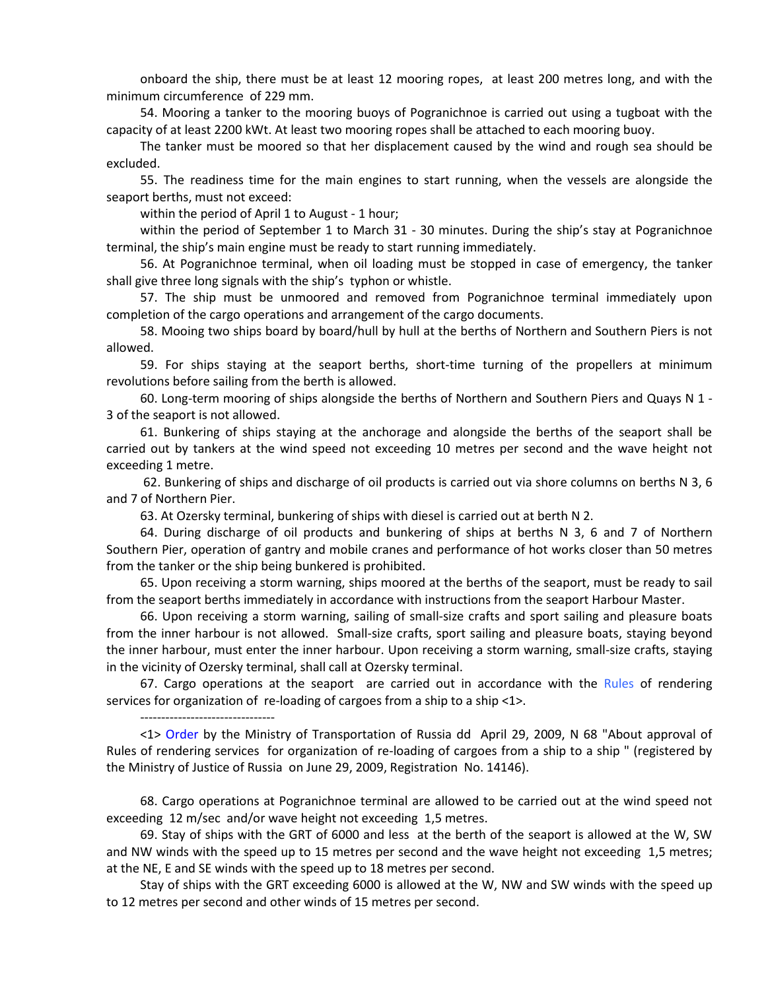onboard the ship, there must be at least 12 mooring ropes, at least 200 metres long, and with the minimum circumference of 229 mm.

54. Mooring a tanker to the mooring buoys of Pogranichnoe is carried out using a tugboat with the capacity of at least 2200 kWt. At least two mooring ropes shall be attached to each mooring buoy.

The tanker must be moored so that her displacement caused by the wind and rough sea should be excluded.

55. The readiness time for the main engines to start running, when the vessels are alongside the seaport berths, must not exceed:

within the period of April 1 to August - 1 hour;

--------------------------------

within the period of September 1 to March 31 - 30 minutes. During the ship's stay at Pogranichnoe terminal, the ship's main engine must be ready to start running immediately.

56. At Pogranichnoe terminal, when oil loading must be stopped in case of emergency, the tanker shall give three long signals with the ship's typhon or whistle.

57. The ship must be unmoored and removed from Pogranichnoe terminal immediately upon completion of the cargo operations and arrangement of the cargo documents.

58. Mooing two ships board by board/hull by hull at the berths of Northern and Southern Piers is not allowed.

59. For ships staying at the seaport berths, short-time turning of the propellers at minimum revolutions before sailing from the berth is allowed.

60. Long-term mooring of ships alongside the berths of Northern and Southern Piers and Quays N 1 - 3 of the seaport is not allowed.

61. Bunkering of ships staying at the anchorage and alongside the berths of the seaport shall be carried out by tankers at the wind speed not exceeding 10 metres per second and the wave height not exceeding 1 metre.

62. Bunkering of ships and discharge of oil products is carried out via shore columns on berths N 3, 6 and 7 of Northern Pier.

63. At Ozersky terminal, bunkering of ships with diesel is carried out at berth N 2.

64. During discharge of oil products and bunkering of ships at berths N 3, 6 and 7 of Northern Southern Pier, operation of gantry and mobile cranes and performance of hot works closer than 50 metres from the tanker or the ship being bunkered is prohibited.

65. Upon receiving a storm warning, ships moored at the berths of the seaport, must be ready to sail from the seaport berths immediately in accordance with instructions from the seaport Harbour Master.

66. Upon receiving a storm warning, sailing of small-size crafts and sport sailing and pleasure boats from the inner harbour is not allowed. Small-size crafts, sport sailing and pleasure boats, staying beyond the inner harbour, must enter the inner harbour. Upon receiving a storm warning, small-size crafts, staying in the vicinity of Ozersky terminal, shall call at Ozersky terminal.

67. Cargo operations at the seaport are carried out in accordance with the Rules of rendering services for organization of re-loading of cargoes from a ship to a ship <1>.

<1> [Order](consultantplus://offline/ref=6FCCD57E313D281E5414E7EC2FE8CBCCD22D051AEAB96D7B7AA89EDC30aAB4G) by the Ministry of Transportation of Russia dd April 29, 2009, N 68 "About approval of Rules of rendering services for organization of re-loading of cargoes from a ship to a ship " (registered by the Ministry of Justice of Russia on June 29, 2009, Registration No. 14146).

68. Cargo operations at Pogranichnoe terminal are allowed to be carried out at the wind speed not exceeding 12 m/sec and/or wave height not exceeding 1,5 metres.

69. Stay of ships with the GRT of 6000 and less at the berth of the seaport is allowed at the W, SW and NW winds with the speed up to 15 metres per second and the wave height not exceeding 1,5 metres; at the NE, E and SE winds with the speed up to 18 metres per second.

Stay of ships with the GRT exceeding 6000 is allowed at the W, NW and SW winds with the speed up to 12 metres per second and other winds of 15 metres per second.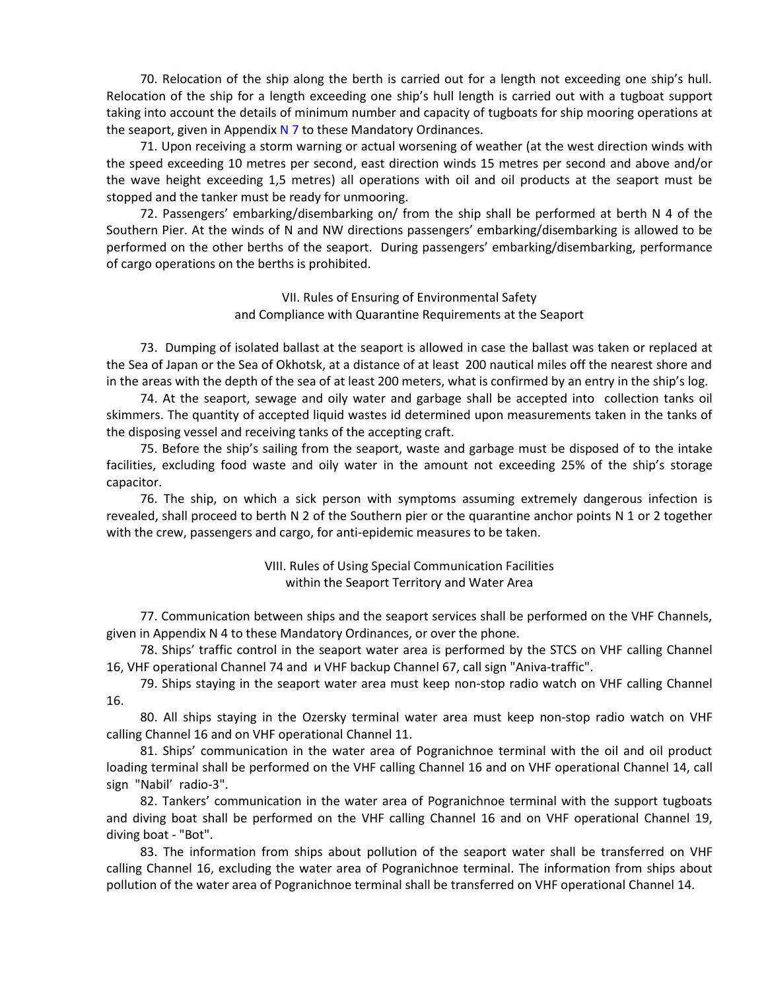70. Relocation of the ship along the berth is carried out for a length not exceeding one ship's hull. Relocation of the ship for a length exceeding one ship's hull length is carried out with a tugboat support taking into account the details of minimum number and capacity of tugboats for ship mooring operations at the seaport, given in Appendix  $N$  7 to these Mandatory Ordinances.

71. Upon receiving a storm warning or actual worsening of weather (at the west direction winds with the speed exceeding 10 metres per second, east direction winds 15 metres per second and above and/or the wave height exceeding 1,5 metres) all operations with oil and oil products at the seaport must be stopped and the tanker must be ready for unmooring.

72. Passengers' embarking/disembarking on/ from the ship shall be performed at berth N 4 of the Southern Pier. At the winds of N and NW directions passengers' embarking/disembarking is allowed to be performed on the other berths of the seaport. During passengers' embarking/disembarking, performance of cargo operations on the berths is prohibited.

> VII. Rules of Ensuring of Environmental Safety and Compliance with Quarantine Requirements at the Seaport

73. Dumping of isolated ballast at the seaport is allowed in case the ballast was taken or replaced at the Sea of Japan or the Sea of Okhotsk, at a distance of at least 200 nautical miles off the nearest shore and in the areas with the depth of the sea of at least 200 meters, what is confirmed by an entry in the ship's log.

74. At the seaport, sewage and oily water and garbage shall be accepted into collection tanks oil skimmers. The quantity of accepted liquid wastes id determined upon measurements taken in the tanks of the disposing vessel and receiving tanks of the accepting craft.

75. Before the ship's sailing from the seaport, waste and garbage must be disposed of to the intake facilities, excluding food waste and oily water in the amount not exceeding 25% of the ship's storage capacitor.

76. The ship, on which a sick person with symptoms assuming extremely dangerous infection is revealed, shall proceed to berth N 2 of the Southern pier or the quarantine anchor points N 1 or 2 together with the crew, passengers and cargo, for anti-epidemic measures to be taken.

> VIII. Rules of Using Special Communication Facilities within the Seaport Territory and Water Area

77. Communication between ships and the seaport services shall be performed on the VHF Channels, given in Appendix N 4 to these Mandatory Ordinances, or over the phone.

78. Ships' traffic control in the seaport water area is performed by the STCS on VHF calling Channel 16, VHF operational Channel 74 and и VHF backup Channel 67, call sign "Aniva-traffic".

79. Ships staying in the seaport water area must keep non-stop radio watch on VHF calling Channel 16.

80. All ships staying in the Ozersky terminal water area must keep non-stop radio watch on VHF calling Channel 16 and on VHF operational Channel 11.

81. Ships' communication in the water area of Pogranichnoe terminal with the oil and oil product loading terminal shall be performed on the VHF calling Channel 16 and on VHF operational Channel 14, call sign "Nabil' radio-3".

82. Tankers' communication in the water area of Pogranichnoe terminal with the support tugboats and diving boat shall be performed on the VHF calling Channel 16 and on VHF operational Channel 19, diving boat - "Bot".

83. The information from ships about pollution of the seaport water shall be transferred on VHF calling Channel 16, excluding the water area of Pogranichnoe terminal. The information from ships about pollution of the water area of Pogranichnoe terminal shall be transferred on VHF operational Channel 14.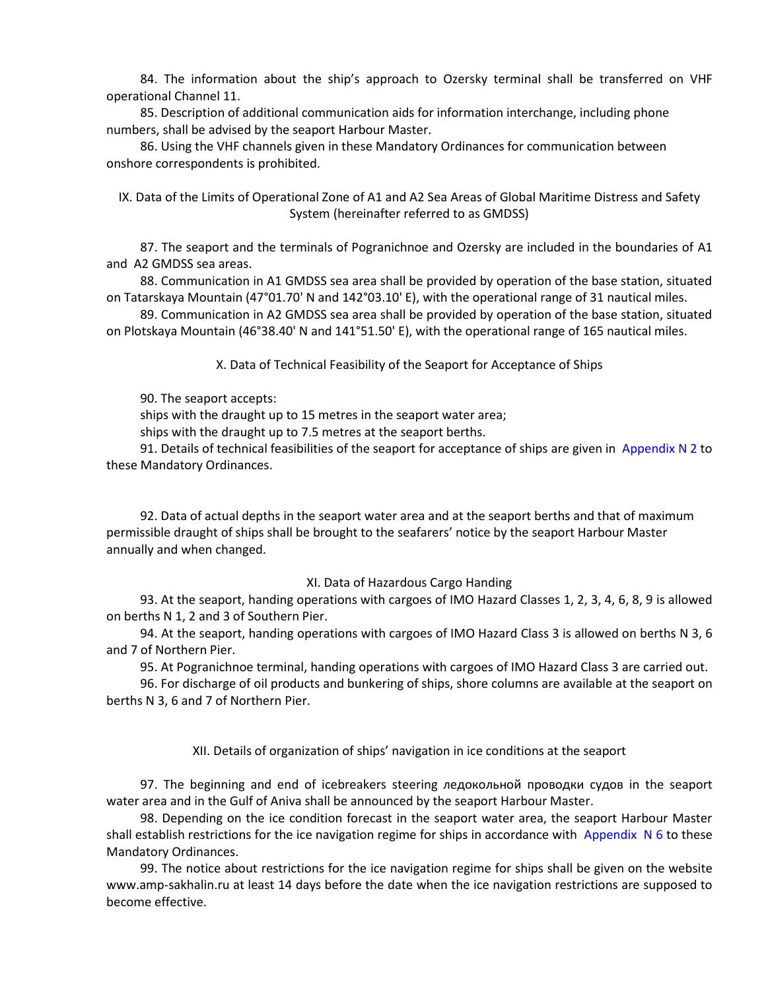84. The information about the ship's approach to Ozersky terminal shall be transferred on VHF operational Channel 11.

85. Description of additional communication aids for information interchange, including phone numbers, shall be advised by the seaport Harbour Master.

86. Using the VHF channels given in these Mandatory Ordinances for communication between onshore correspondents is prohibited.

IX. Data of the Limits of Operational Zone of A1 and A2 Sea Areas of Global Maritime Distress and Safety System (hereinafter referred to as GMDSS)

87. The seaport and the terminals of Pogranichnoe and Ozersky are included in the boundaries of A1 and A2 GMDSS sea areas.

88. Communication in А1 GMDSS sea area shall be provided by operation of the base station, situated on Tatarskaya Mountain (47°01.70' N and 142°03.10' E), with the operational range of 31 nautical miles.

89. Communication in A2 GMDSS sea area shall be provided by operation of the base station, situated on Plotskaya Mountain (46°38.40' N and 141°51.50' E), with the operational range of 165 nautical miles.

X. Data of Technical Feasibility of the Seaport for Acceptance of Ships

90. The seaport accepts:

ships with the draught up to 15 metres in the seaport water area;

ships with the draught up to 7.5 metres at the seaport berths.

91. Details of technical feasibilities of the seaport for acceptance of ships are given in Appendix N 2 to these Mandatory Ordinances.

92. Data of actual depths in the seaport water area and at the seaport berths and that of maximum permissible draught of ships shall be brought to the seafarers' notice by the seaport Harbour Master annually and when changed.

### XI. Data of Hazardous Cargo Handing

93. At the seaport, handing operations with cargoes of IMO Hazard Classes 1, 2, 3, 4, 6, 8, 9 is allowed on berths N 1, 2 and 3 of Southern Pier.

94. At the seaport, handing operations with cargoes of IMO Hazard Class 3 is allowed on berths N 3, 6 and 7 of Northern Pier.

95. At Pogranichnoe terminal, handing operations with cargoes of IMO Hazard Class 3 are carried out.

96. For discharge of oil products and bunkering of ships, shore columns are available at the seaport on berths N 3, 6 and 7 of Northern Pier.

XII. Details of organization of ships' navigation in ice conditions at the seaport

97. The beginning and end of icebreakers steering ледокольной проводки судов in the seaport water area and in the Gulf of Aniva shall be announced by the seaport Harbour Master.

98. Depending on the ice condition forecast in the seaport water area, the seaport Harbour Master shall establish restrictions for the ice navigation regime for ships in accordance with Appendix  $N_0$  6 to these Mandatory Ordinances.

99. The notice about restrictions for the ice navigation regime for ships shall be given on the website www.amp-sakhalin.ru at least 14 days before the date when the ice navigation restrictions are supposed to become effective.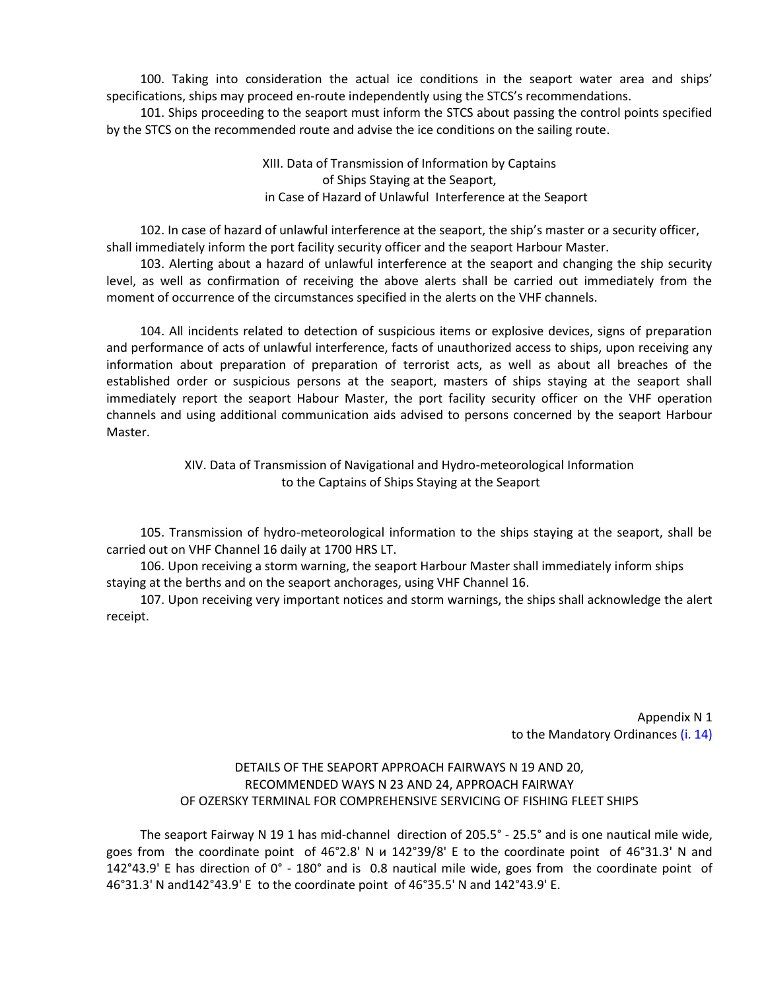100. Taking into consideration the actual ice conditions in the seaport water area and ships' specifications, ships may proceed en-route independently using the STCS's recommendations.

101. Ships proceeding to the seaport must inform the STCS about passing the control points specified by the STCS on the recommended route and advise the ice conditions on the sailing route.

> XIII. Data of Transmission of Information by Captains of Ships Staying at the Seaport, in Case of Hazard of Unlawful Interference at the Seaport

102. In case of hazard of unlawful interference at the seaport, the ship's master or a security officer, shall immediately inform the port facility security officer and the seaport Harbour Master.

103. Alerting about a hazard of unlawful interference at the seaport and changing the ship security level, as well as confirmation of receiving the above alerts shall be carried out immediately from the moment of occurrence of the circumstances specified in the alerts on the VHF channels.

104. All incidents related to detection of suspicious items or explosive devices, signs of preparation and performance of acts of unlawful interference, facts of unauthorized access to ships, upon receiving any information about preparation of preparation of terrorist acts, as well as about all breaches of the established order or suspicious persons at the seaport, masters of ships staying at the seaport shall immediately report the seaport Habour Master, the port facility security officer on the VHF operation channels and using additional communication aids advised to persons concerned by the seaport Harbour Master.

> XIV. Data of Transmission of Navigational and Hydro-meteorological Information to the Captains of Ships Staying at the Seaport

105. Transmission of hydro-meteorological information to the ships staying at the seaport, shall be carried out on VHF Channel 16 daily at 1700 HRS LT.

106. Upon receiving a storm warning, the seaport Harbour Master shall immediately inform ships staying at the berths and on the seaport anchorages, using VHF Channel 16.

107. Upon receiving very important notices and storm warnings, the ships shall acknowledge the alert receipt.

> Appendix N 1 to the Mandatory Ordinances (i. 14)

# DETAILS OF THE SEAPORT APPROACH FAIRWAYS N 19 AND 20, RECOMMENDED WAYS N 23 AND 24, APPROACH FAIRWAY OF OZERSKY TERMINAL FOR COMPREHENSIVE SERVICING OF FISHING FLEET SHIPS

The seaport Fairway N 19 1 has mid-channel direction of 205.5° - 25.5° and is one nautical mile wide, goes from the coordinate point of 46°2.8' N и 142°39/8' E to the coordinate point of 46°31.3' N and 142°43.9' E has direction of 0° - 180° and is 0.8 nautical mile wide, goes from the coordinate point of 46°31.3' N and142°43.9' E to the coordinate point of 46°35.5' N and 142°43.9' E.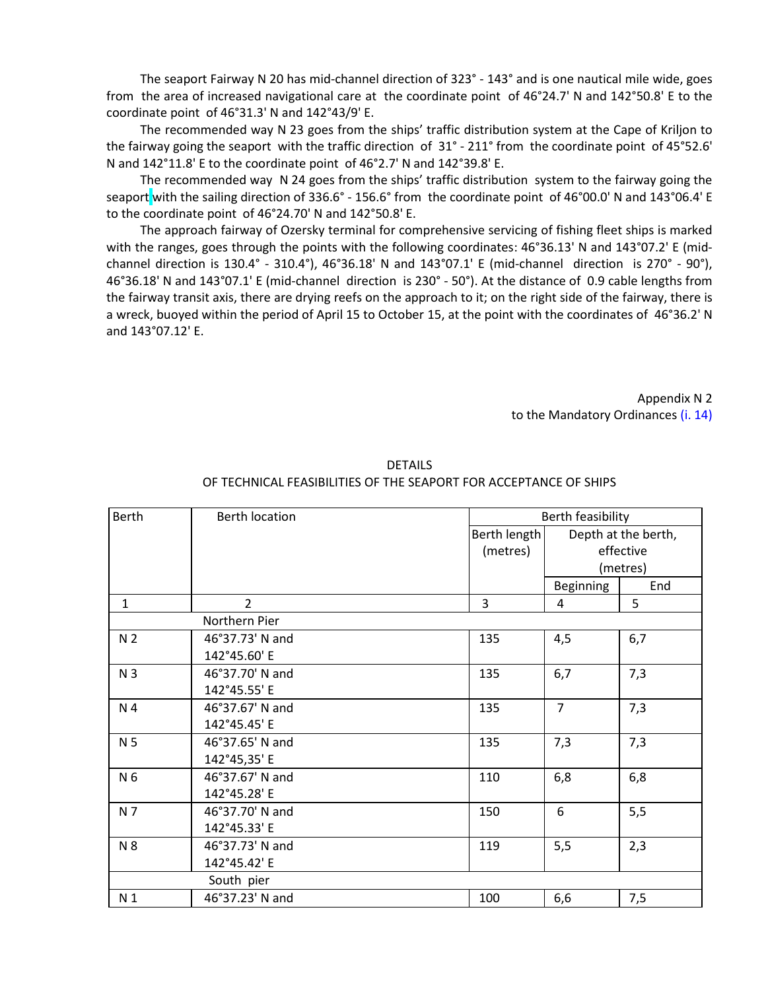The seaport Fairway N 20 has mid-channel direction of 323° - 143° and is one nautical mile wide, goes from the area of increased navigational care at the coordinate point of 46°24.7' N and 142°50.8' E to the coordinate point of 46°31.3' N and 142°43/9' E.

The recommended way N 23 goes from the ships' traffic distribution system at the Cape of Kriljon to the fairway going the seaport with the traffic direction of 31° - 211° from the coordinate point of 45°52.6' N and 142°11.8' E to the coordinate point of 46°2.7' N and 142°39.8' E.

The recommended way N 24 goes from the ships' traffic distribution system to the fairway going the seaport with the sailing direction of 336.6° - 156.6° from the coordinate point of 46°00.0' N and 143°06.4' E to the coordinate point of 46°24.70' N and 142°50.8' E.

The approach fairway of Ozersky terminal for comprehensive servicing of fishing fleet ships is marked with the ranges, goes through the points with the following coordinates: 46°36.13' N and 143°07.2' E (midchannel direction is 130.4° - 310.4°), 46°36.18' N and 143°07.1' E (mid-channel direction is 270° - 90°), 46°36.18' N and 143°07.1' E (mid-channel direction is 230° - 50°). At the distance of 0.9 cable lengths from the fairway transit axis, there are drying reefs on the approach to it; on the right side of the fairway, there is a wreck, buoyed within the period of April 15 to October 15, at the point with the coordinates of 46°36.2' N and 143°07.12' E.

> Appendix N 2 to the Mandatory Ordinances (i. 14)

| <b>Berth</b>   | <b>Berth location</b> | Berth feasibility |                  |                     |
|----------------|-----------------------|-------------------|------------------|---------------------|
|                |                       | Berth length      |                  | Depth at the berth, |
|                |                       | (metres)          |                  | effective           |
|                |                       |                   |                  | (metres)            |
|                |                       |                   | <b>Beginning</b> | End                 |
| $\mathbf{1}$   | $\overline{2}$        | 3                 | 4                | 5                   |
|                | Northern Pier         |                   |                  |                     |
| N <sub>2</sub> | 46°37.73' N and       | 135               | 4,5              | 6,7                 |
|                | 142°45.60' E          |                   |                  |                     |
| N <sub>3</sub> | 46°37.70' N and       | 135               | 6,7              | 7,3                 |
|                | 142°45.55' E          |                   |                  |                     |
| N 4            | 46°37.67' N and       | 135               | $\overline{7}$   | 7,3                 |
|                | 142°45.45' E          |                   |                  |                     |
| N <sub>5</sub> | 46°37.65' N and       | 135               | 7,3              | 7,3                 |
|                | 142°45,35' E          |                   |                  |                     |
| N 6            | 46°37.67' N and       | 110               | 6,8              | 6,8                 |
|                | 142°45.28' E          |                   |                  |                     |
| N 7            | 46°37.70' N and       | 150               | 6                | 5,5                 |
|                | 142°45.33' E          |                   |                  |                     |
| N 8            | 46°37.73' N and       | 119               | 5,5              | 2,3                 |
|                | 142°45.42' E          |                   |                  |                     |
|                | South pier            |                   |                  |                     |
| N <sub>1</sub> | 46°37.23' N and       | 100               | 6,6              | 7,5                 |

DETAILS OF TECHNICAL FEASIBILITIES OF THE SEAPORT FOR ACCEPTANCE OF SHIPS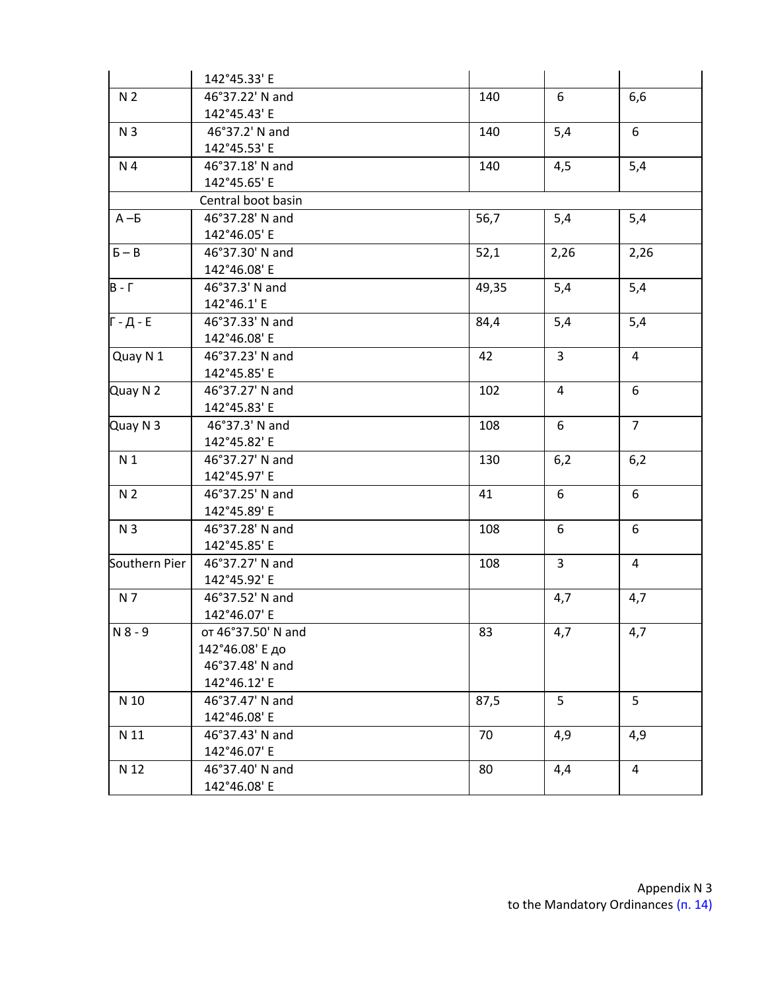|                | 142°45.33' E       |       |                |                |
|----------------|--------------------|-------|----------------|----------------|
| N <sub>2</sub> | 46°37.22' N and    | 140   | 6              | 6,6            |
|                | 142°45.43' E       |       |                |                |
| N <sub>3</sub> | 46°37.2' N and     | 140   | 5,4            | 6              |
|                | 142°45.53' E       |       |                |                |
| N 4            | 46°37.18' N and    | 140   | 4,5            | 5,4            |
|                | 142°45.65' E       |       |                |                |
|                | Central boot basin |       |                |                |
| $A - 5$        | 46°37.28' N and    | 56,7  | 5,4            | 5,4            |
|                | 142°46.05' E       |       |                |                |
| $5 - B$        | 46°37.30' N and    | 52,1  | 2,26           | 2,26           |
|                | 142°46.08' E       |       |                |                |
| $B - \Gamma$   | 46°37.3' N and     | 49,35 | 5,4            | 5,4            |
|                | 142°46.1' E        |       |                |                |
| Г - Д - Е      | 46°37.33' N and    | 84,4  | 5,4            | 5,4            |
|                | 142°46.08' E       |       |                |                |
| Quay N 1       | 46°37.23' N and    | 42    | $\mathbf{3}$   | 4              |
|                | 142°45.85' E       |       |                |                |
| Quay N 2       | 46°37.27' N and    | 102   | $\overline{4}$ | 6              |
|                | 142°45.83' E       |       |                |                |
| Quay N 3       | 46°37.3' N and     | 108   | 6              | $\overline{7}$ |
|                | 142°45.82' E       |       |                |                |
| N <sub>1</sub> | 46°37.27' N and    | 130   | 6,2            | 6,2            |
|                | 142°45.97' E       |       |                |                |
| N <sub>2</sub> | 46°37.25' N and    | 41    | 6              | 6              |
|                | 142°45.89' E       |       |                |                |
| N <sub>3</sub> | 46°37.28' N and    | 108   | 6              | 6              |
|                | 142°45.85' E       |       |                |                |
| Southern Pier  | 46°37.27' N and    | 108   | $\overline{3}$ | $\overline{4}$ |
|                | 142°45.92' E       |       |                |                |
| N 7            | 46°37.52' N and    |       | 4,7            | 4,7            |
|                | 142°46.07' E       |       |                |                |
| $N 8 - 9$      | от 46°37.50' N and | 83    | 4,7            | 4,7            |
|                | 142°46.08' Е до    |       |                |                |
|                | 46°37.48' N and    |       |                |                |
|                | 142°46.12' E       |       |                |                |
| N 10           | 46°37.47' N and    | 87,5  | 5              | 5              |
|                | 142°46.08' E       |       |                |                |
| N 11           | 46°37.43' N and    | 70    | 4,9            | 4,9            |
|                | 142°46.07' E       |       |                |                |
| N 12           | 46°37.40' N and    | 80    | 4,4            | $\overline{4}$ |
|                | 142°46.08' E       |       |                |                |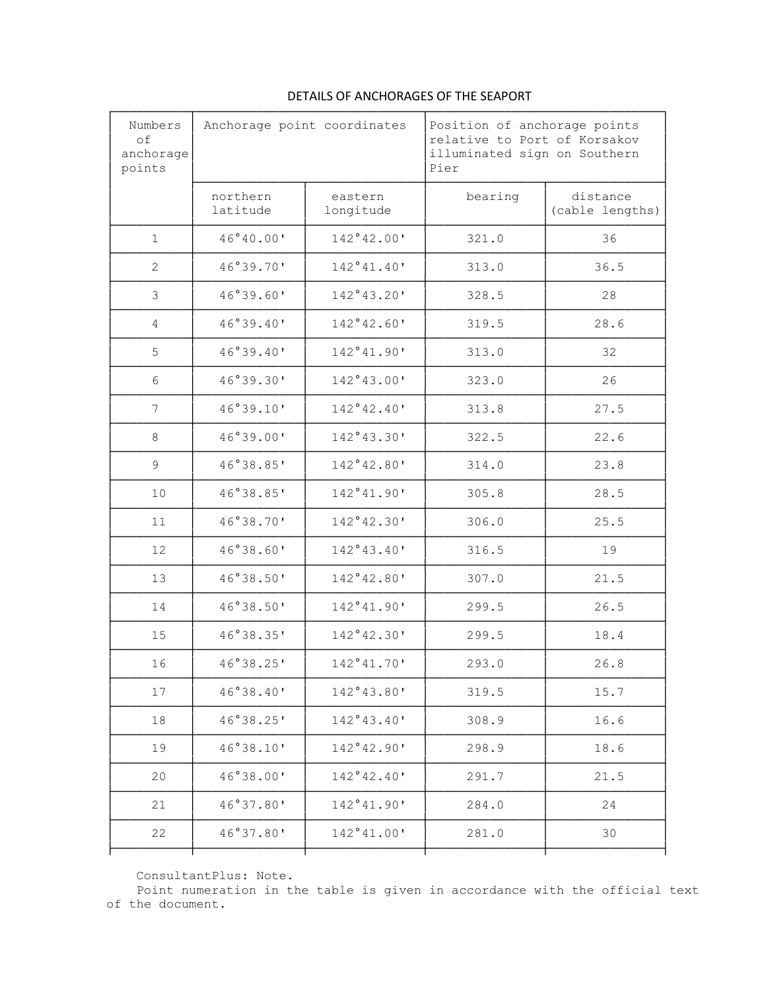| Numbers<br>of<br>anchorage<br>points | Anchorage point coordinates |                      | Position of anchorage points<br>relative to Port of Korsakov<br>illuminated sign on Southern<br>Pier |                             |
|--------------------------------------|-----------------------------|----------------------|------------------------------------------------------------------------------------------------------|-----------------------------|
|                                      | northern<br>latitude        | eastern<br>longitude | bearing                                                                                              | distance<br>(cable lengths) |
| $\mathbf{1}$                         | 46°40.00'                   | 142°42.00'           | 321.0                                                                                                | 36                          |
| $\mathbf{2}$                         | 46°39.70'                   | 142°41.40'           | 313.0                                                                                                | 36.5                        |
| 3                                    | 46°39.60'                   | 142°43.20'           | 328.5                                                                                                | 28                          |
| 4                                    | 46°39.40'                   | 142°42.60'           | 319.5                                                                                                | 28.6                        |
| 5                                    | 46°39.40'                   | 142°41.90'           | 313.0                                                                                                | 32                          |
| 6                                    | 46°39.30'                   | 142°43.00'           | 323.0                                                                                                | 26                          |
| 7                                    | 46°39.10'                   | 142°42.40'           | 313.8                                                                                                | 27.5                        |
| 8                                    | 46°39.00'                   | 142°43.30'           | 322.5                                                                                                | 22.6                        |
| 9                                    | 46°38.85'                   | 142°42.80'           | 314.0                                                                                                | 23.8                        |
| 10                                   | 46°38.85'                   | 142°41.90'           | 305.8                                                                                                | 28.5                        |
| 11                                   | 46°38.70'                   | 142°42.30'           | 306.0                                                                                                | 25.5                        |
| 12                                   | 46°38.60'                   | 142°43.40'           | 316.5                                                                                                | 19                          |
| 13                                   | 46°38.50'                   | 142°42.80'           | 307.0                                                                                                | 21.5                        |
| 14                                   | 46°38.50'                   | 142°41.90'           | 299.5                                                                                                | 26.5                        |
| 15                                   | 46°38.35'                   | 142°42.30'           | 299.5                                                                                                | 18.4                        |
| 16                                   | 46°38.25'                   | 142°41.70'           | 293.0                                                                                                | 26.8                        |
| 17                                   | 46°38.40'                   | 142°43.80'           | 319.5                                                                                                | 15.7                        |
| 18                                   | 46°38.25'                   | 142°43.40'           | 308.9                                                                                                | 16.6                        |
| 19                                   | 46°38.10'                   | 142°42.90'           | 298.9                                                                                                | 18.6                        |
| 20                                   | 46°38.00'                   | 142°42.40'           | 291.7                                                                                                | 21.5                        |
| 21                                   | 46°37.80'                   | 142°41.90'           | 284.0                                                                                                | 24                          |
| 22                                   | 46°37.80'                   | 142°41.00'           | 281.0                                                                                                | 30                          |
|                                      |                             |                      |                                                                                                      |                             |

# DETAILS OF ANCHORAGES OF THE SEAPORT

ConsultantPlus: Note.

Point numeration in the table is given in accordance with the official text of the document.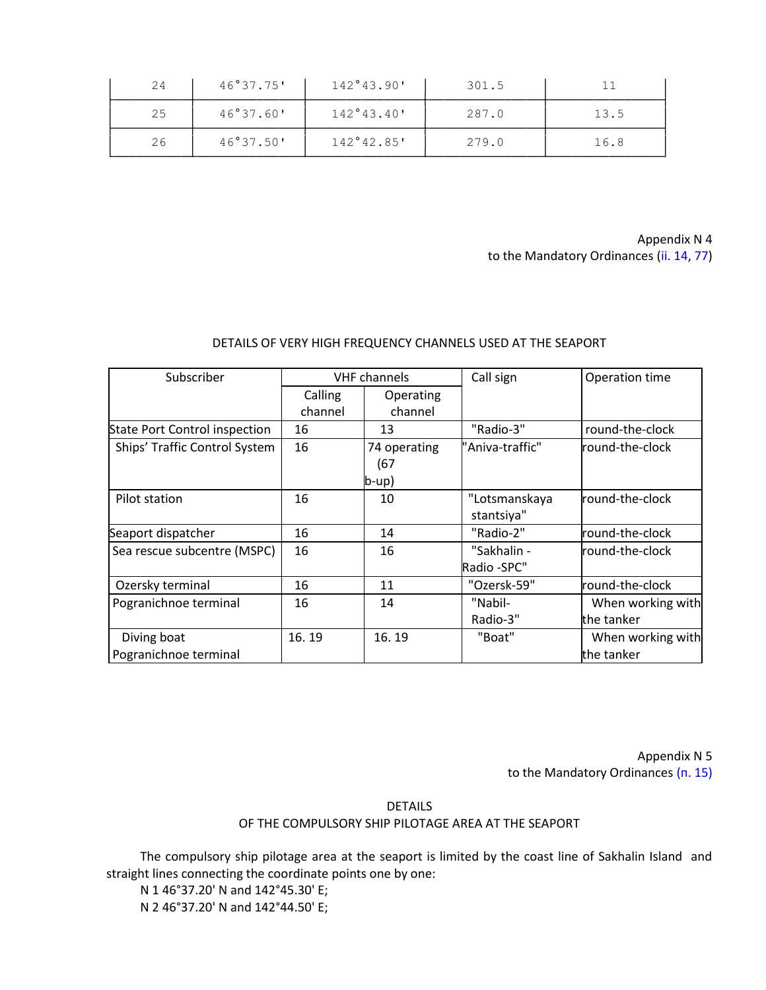| 24 | 46°37.75' | 142°43.90' | 301.5 |      |
|----|-----------|------------|-------|------|
| 25 | 46°37.60' | 142°43.40' | 287.0 | 13.5 |
| 26 | 46°37.50' | 142°42.85' | 279.0 | 16.8 |

Appendix N 4 to the Mandatory Ordinances (ii. 14, 77)

# DETAILS OF VERY HIGH FREQUENCY CHANNELS USED AT THE SEAPORT

| Subscriber                           | <b>VHF</b> channels |                | Call sign       | Operation time    |
|--------------------------------------|---------------------|----------------|-----------------|-------------------|
|                                      | Calling             | Operating      |                 |                   |
|                                      | channel             | channel        |                 |                   |
| <b>State Port Control inspection</b> | 16                  | 13             | "Radio-3"       | round-the-clock   |
| Ships' Traffic Control System        | 16                  | 74 operating   | "Aniva-traffic" | round-the-clock   |
|                                      |                     | (67            |                 |                   |
|                                      |                     | $ b-up\rangle$ |                 |                   |
| Pilot station                        | 16                  | 10             | "Lotsmanskaya   | round-the-clock   |
|                                      |                     |                | stantsiya"      |                   |
| Seaport dispatcher                   | 16                  | 14             | "Radio-2"       | round-the-clock   |
| Sea rescue subcentre (MSPC)          | 16                  | 16             | "Sakhalin -     | round-the-clock   |
|                                      |                     |                | Radio -SPC"     |                   |
| Ozersky terminal                     | 16                  | 11             | "Ozersk-59"     | round-the-clock   |
| Pogranichnoe terminal                | 16                  | 14             | "Nabil-         | When working with |
|                                      |                     |                | Radio-3"        | the tanker        |
| Diving boat                          | 16.19               | 16.19          | "Boat"          | When working with |
| Pogranichnoe terminal                |                     |                |                 | the tanker        |

Appendix N 5 to the Mandatory Ordinances (п. 15)

DETAILS

OF THE COMPULSORY SHIP PILOTAGE AREA AT THE SEAPORT

The compulsory ship pilotage area at the seaport is limited by the coast line of Sakhalin Island and straight lines connecting the coordinate points one by one:

N 1 46°37.20' N and 142°45.30' E; N 2 46°37.20' N and 142°44.50' E;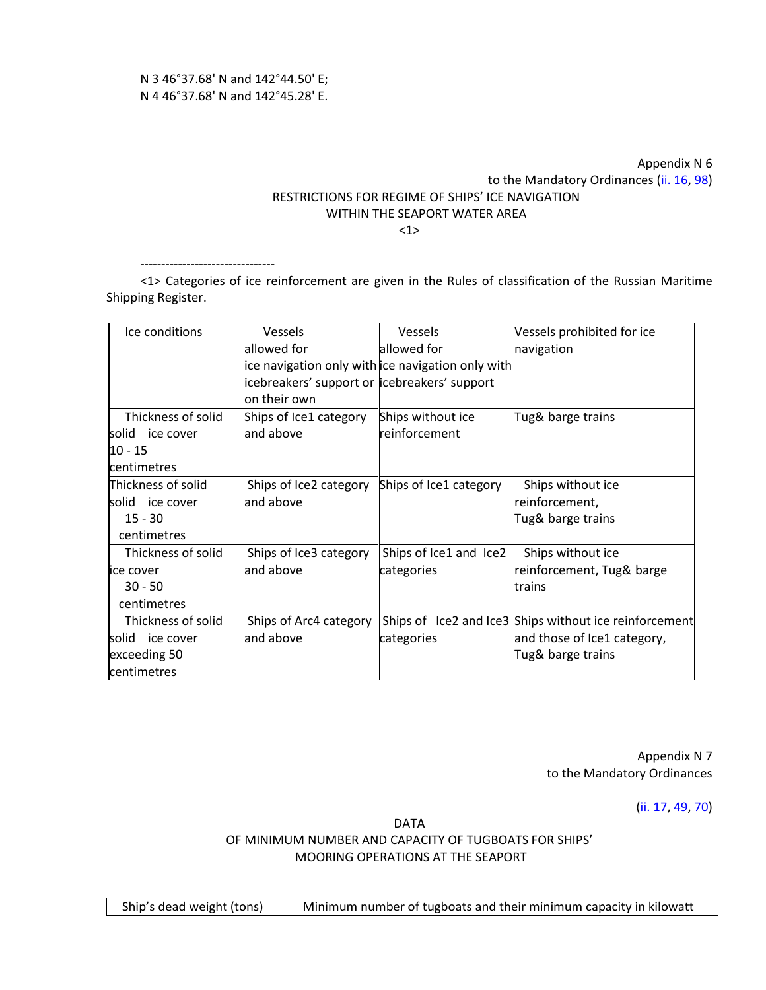--------------------------------

# Appendix N 6 to the Mandatory Ordinances (ii. 16, 98) RESTRICTIONS FOR REGIME OF SHIPS' ICE NAVIGATION WITHIN THE SEAPORT WATER AREA

<1>

<1> Categories of ice reinforcement are given in the Rules of classification of the Russian Maritime Shipping Register.

| Ice conditions     | Vessels                                       | <b>Vessels</b>                                    | Vessels prohibited for ice                             |
|--------------------|-----------------------------------------------|---------------------------------------------------|--------------------------------------------------------|
|                    |                                               |                                                   |                                                        |
|                    | allowed for                                   | allowed for                                       | navigation                                             |
|                    |                                               | ice navigation only with ice navigation only with |                                                        |
|                    | icebreakers' support or licebreakers' support |                                                   |                                                        |
|                    | on their own                                  |                                                   |                                                        |
| Thickness of solid | Ships of Ice1 category                        | Ships without ice                                 | Tug& barge trains                                      |
| solid ice cover    | and above                                     | reinforcement                                     |                                                        |
| 10 - 15            |                                               |                                                   |                                                        |
| <b>centimetres</b> |                                               |                                                   |                                                        |
| Thickness of solid | Ships of Ice2 category                        | Ships of Ice1 category                            | Ships without ice                                      |
| lsolid ice cover   | and above                                     |                                                   | reinforcement,                                         |
| $15 - 30$          |                                               |                                                   | Tug& barge trains                                      |
| centimetres        |                                               |                                                   |                                                        |
| Thickness of solid | Ships of Ice3 category                        | Ships of Ice1 and Ice2                            | Ships without ice                                      |
| lice cover         | and above                                     | categories                                        | reinforcement, Tug& barge                              |
| $30 - 50$          |                                               |                                                   | trains                                                 |
| centimetres        |                                               |                                                   |                                                        |
| Thickness of solid | Ships of Arc4 category                        |                                                   | Ships of Ice2 and Ice3 Ships without ice reinforcement |
| solid ice cover    | and above                                     | categories                                        | and those of Ice1 category,                            |
| exceeding 50       |                                               |                                                   | Tug& barge trains                                      |
| centimetres        |                                               |                                                   |                                                        |

Appendix N 7 to the Mandatory Ordinances

(ii. 17, 49, 70)

DATA

OF MINIMUM NUMBER AND CAPACITY OF TUGBOATS FOR SHIPS' MOORING OPERATIONS AT THE SEAPORT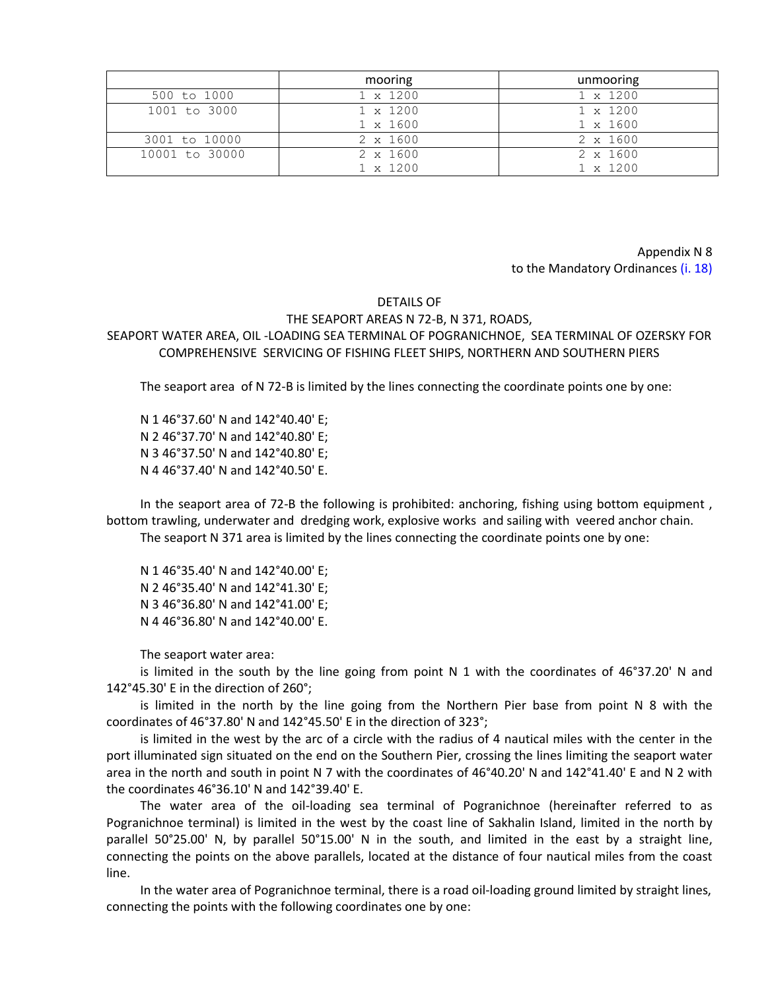|                | mooring         | unmooring       |
|----------------|-----------------|-----------------|
| 500 to 1000    | $1 \times 1200$ | $1 \times 1200$ |
| 1001 to 3000   | $1 \times 1200$ | $1 \times 1200$ |
|                | $1 \times 1600$ | $1 \times 1600$ |
| 3001 to 10000  | $2 \times 1600$ | $2 \times 1600$ |
| 10001 to 30000 | $2 \times 1600$ | $2 \times 1600$ |
|                | 1 x 1200        | $1 \times 1200$ |

Appendix N 8 to the Mandatory Ordinances (i. 18)

#### DETAILS OF

### THE SEAPORT AREAS N 72-В, N 371, ROADS,

SEAPORT WATER AREA, OIL -LOADING SEA TERMINAL OF POGRANICHNOE, SEA TERMINAL OF OZERSKY FOR COMPREHENSIVE SERVICING OF FISHING FLEET SHIPS, NORTHERN AND SOUTHERN PIERS

The seaport area of N 72-B is limited by the lines connecting the coordinate points one by one:

N 1 46°37.60' N and 142°40.40' E; N 2 46°37.70' N and 142°40.80' E; N 3 46°37.50' N and 142°40.80' E; N 4 46°37.40' N and 142°40.50' E.

In the seaport area of 72-В the following is prohibited: anchoring, fishing using bottom equipment , bottom trawling, underwater and dredging work, explosive works and sailing with veered anchor chain.

The seaport N 371 area is limited by the lines connecting the coordinate points one by one:

N 1 46°35.40' N and 142°40.00' E; N 2 46°35.40' N and 142°41.30' E; N 3 46°36.80' N and 142°41.00' E; N 4 46°36.80' N and 142°40.00' E.

The seaport water area:

is limited in the south by the line going from point N 1 with the coordinates of 46°37.20' N and 142°45.30' E in the direction of 260°;

is limited in the north by the line going from the Northern Pier base from point N 8 with the coordinates of 46°37.80' N and 142°45.50' E in the direction of 323°;

is limited in the west by the arc of a circle with the radius of 4 nautical miles with the center in the port illuminated sign situated on the end on the Southern Pier, crossing the lines limiting the seaport water area in the north and south in point N 7 with the coordinates of 46°40.20' N and 142°41.40' E and N 2 with the coordinates 46°36.10' N and 142°39.40' E.

The water area of the oil-loading sea terminal of Pogranichnoe (hereinafter referred to as Pogranichnoe terminal) is limited in the west by the coast line of Sakhalin Island, limited in the north by parallel 50°25.00' N, by parallel 50°15.00' N in the south, and limited in the east by a straight line, connecting the points on the above parallels, located at the distance of four nautical miles from the coast line.

In the water area of Pogranichnoe terminal, there is a road oil-loading ground limited by straight lines, connecting the points with the following coordinates one by one: